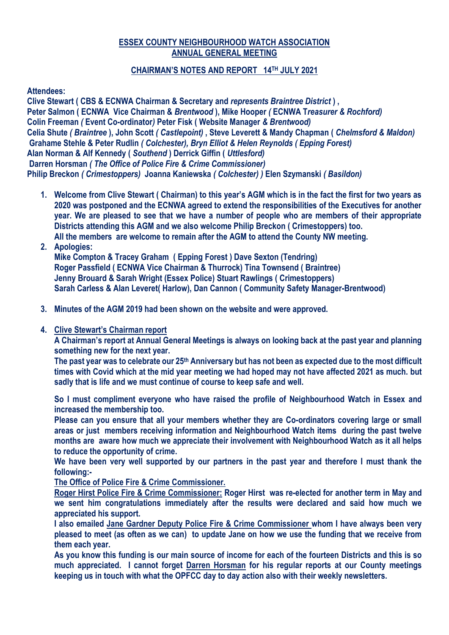# **ESSEX COUNTY NEIGHBOURHOOD WATCH ASSOCIATION ANNUAL GENERAL MEETING**

# **CHAIRMAN'S NOTES AND REPORT 14TH JULY 2021**

# **Attendees:**

**Clive Stewart ( CBS & ECNWA Chairman & Secretary and** *represents Braintree District* **) , Peter Salmon ( ECNWA Vice Chairman &** *Brentwood* **), Mike Hooper** *(* **ECNWA T***reasurer & Rochford)* **Colin Freeman** *(* **Event Co-ordinator***)* **Peter Fisk ( Website Manager** *& Brentwood)* **Celia Shute** *( Braintree* **), John Scott** *( Castlepoint)* **, Steve Leverett & Mandy Chapman (** *Chelmsford & Maldon)* **Grahame Stehle & Peter Rudlin** *( Colchester), Bryn Elliot & Helen Reynolds ( Epping Forest)* **Alan Norman & Alf Kennedy (** *Southend* **) Derrick Giffin (** *Uttlesford)* **Darren Horsman** *( The Office of Police Fire & Crime Commissioner)*  **Philip Breckon** *( Crimestoppers)* **Joanna Kaniewska** *( Colchester) )* **Elen Szymanski** *( Basildon)* 

- **1. Welcome from Clive Stewart ( Chairman) to this year's AGM which is in the fact the first for two years as 2020 was postponed and the ECNWA agreed to extend the responsibilities of the Executives for another year. We are pleased to see that we have a number of people who are members of their appropriate Districts attending this AGM and we also welcome Philip Breckon ( Crimestoppers) too. All the members are welcome to remain after the AGM to attend the County NW meeting.**
- **2. Apologies: Mike Compton & Tracey Graham ( Epping Forest ) Dave Sexton (Tendring) Roger Passfield ( ECNWA Vice Chairman & Thurrock) Tina Townsend ( Braintree) Jenny Brouard & Sarah Wright (Essex Police) Stuart Rawlings ( Crimestoppers) Sarah Carless & Alan Leveret( Harlow), Dan Cannon ( Community Safety Manager-Brentwood)**
- **3. Minutes of the AGM 2019 had been shown on the website and were approved.**
- **4. Clive Stewart's Chairman report**

**A Chairman's report at Annual General Meetings is always on looking back at the past year and planning something new for the next year.**

**The past year was to celebrate our 25th Anniversary but has not been as expected due to the most difficult times with Covid which at the mid year meeting we had hoped may not have affected 2021 as much. but sadly that is life and we must continue of course to keep safe and well.**

**So I must compliment everyone who have raised the profile of Neighbourhood Watch in Essex and increased the membership too.** 

**Please can you ensure that all your members whether they are Co-ordinators covering large or small areas or just members receiving information and Neighbourhood Watch items during the past twelve months are aware how much we appreciate their involvement with Neighbourhood Watch as it all helps to reduce the opportunity of crime.**

**We have been very well supported by our partners in the past year and therefore I must thank the following:-**

**The Office of Police Fire & Crime Commissioner.**

**Roger Hirst Police Fire & Crime Commissioner: Roger Hirst was re-elected for another term in May and we sent him congratulations immediately after the results were declared and said how much we appreciated his support.**

**I also emailed Jane Gardner Deputy Police Fire & Crime Commissioner whom I have always been very pleased to meet (as often as we can) to update Jane on how we use the funding that we receive from them each year.** 

**As you know this funding is our main source of income for each of the fourteen Districts and this is so much appreciated. I cannot forget Darren Horsman for his regular reports at our County meetings keeping us in touch with what the OPFCC day to day action also with their weekly newsletters.**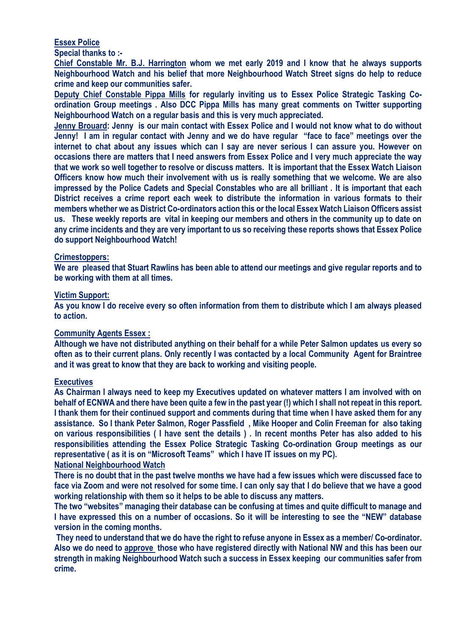# **Essex Police**

**Special thanks to :-**

**Chief Constable Mr. B.J. Harrington whom we met early 2019 and I know that he always supports Neighbourhood Watch and his belief that more Neighbourhood Watch Street signs do help to reduce crime and keep our communities safer.**

**Deputy Chief Constable Pippa Mills for regularly inviting us to Essex Police Strategic Tasking Coordination Group meetings . Also DCC Pippa Mills has many great comments on Twitter supporting Neighbourhood Watch on a regular basis and this is very much appreciated.** 

**Jenny Brouard: Jenny is our main contact with Essex Police and I would not know what to do without Jenny! I am in regular contact with Jenny and we do have regular "face to face" meetings over the internet to chat about any issues which can I say are never serious I can assure you. However on occasions there are matters that I need answers from Essex Police and I very much appreciate the way that we work so well together to resolve or discuss matters. It is important that the Essex Watch Liaison Officers know how much their involvement with us is really something that we welcome. We are also impressed by the Police Cadets and Special Constables who are all brilliant . It is important that each District receives a crime report each week to distribute the information in various formats to their members whether we as District Co-ordinators action this or the local Essex Watch Liaison Officers assist us. These weekly reports are vital in keeping our members and others in the community up to date on any crime incidents and they are very important to us so receiving these reports shows that Essex Police do support Neighbourhood Watch!**

### **Crimestoppers:**

**We are pleased that Stuart Rawlins has been able to attend our meetings and give regular reports and to be working with them at all times.**

### **Victim Support:**

**As you know I do receive every so often information from them to distribute which I am always pleased to action.**

#### **Community Agents Essex :**

**Although we have not distributed anything on their behalf for a while Peter Salmon updates us every so often as to their current plans. Only recently I was contacted by a local Community Agent for Braintree and it was great to know that they are back to working and visiting people.**

#### **Executives**

**As Chairman I always need to keep my Executives updated on whatever matters I am involved with on behalf of ECNWA and there have been quite a few in the past year (!) which I shall not repeat in this report. I thank them for their continued support and comments during that time when I have asked them for any assistance. So I thank Peter Salmon, Roger Passfield , Mike Hooper and Colin Freeman for also taking on various responsibilities ( I have sent the details ) . In recent months Peter has also added to his responsibilities attending the Essex Police Strategic Tasking Co-ordination Group meetings as our representative ( as it is on "Microsoft Teams" which I have IT issues on my PC).**

### **National Neighbourhood Watch**

**There is no doubt that in the past twelve months we have had a few issues which were discussed face to face via Zoom and were not resolved for some time. I can only say that I do believe that we have a good working relationship with them so it helps to be able to discuss any matters.**

**The two "websites" managing their database can be confusing at times and quite difficult to manage and I have expressed this on a number of occasions. So it will be interesting to see the "NEW" database version in the coming months.**

**They need to understand that we do have the right to refuse anyone in Essex as a member/ Co-ordinator. Also we do need to approve those who have registered directly with National NW and this has been our strength in making Neighbourhood Watch such a success in Essex keeping our communities safer from crime.**